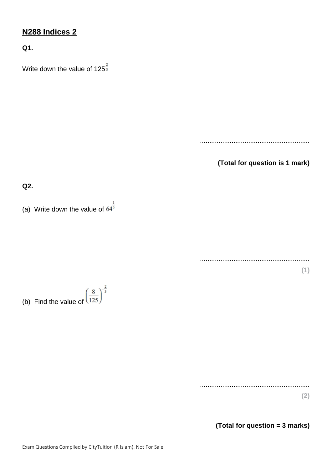## **N288 Indices 2**

**Q1.**

Write down the value of  $125^{\frac{2}{3}}$ 

...........................................................

**(Total for question is 1 mark)**

**Q2.**

(a) Write down the value of  $64^{\frac{1}{2}}$ 

........................................................... **(1)**

(b) Find the value of  $\left(\frac{8}{125}\right)^{-\frac{2}{3}}$ 

........................................................... **(2)**

**(Total for question = 3 marks)**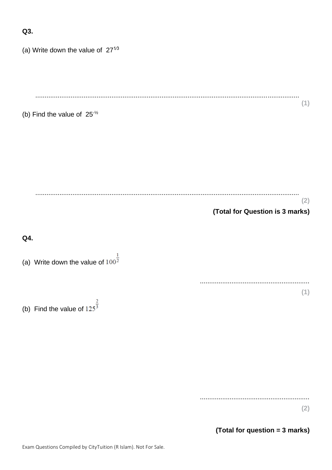| (a) Write down the value of $27^{\frac{1}{3}}$  |                                        |
|-------------------------------------------------|----------------------------------------|
|                                                 |                                        |
| (b) Find the value of $25\frac{1}{2}$           | (1)                                    |
|                                                 |                                        |
|                                                 |                                        |
|                                                 | (2)<br>(Total for Question is 3 marks) |
|                                                 |                                        |
| Q4.                                             |                                        |
| (a) Write down the value of $100^{\frac{1}{2}}$ |                                        |
| (b) Find the value of $125^{\frac{2}{3}}$       | (1)                                    |
|                                                 |                                        |

 $(2)$ 

(Total for question = 3 marks)

 $Q3.$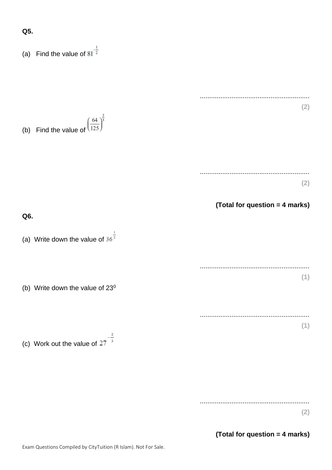**Q5.**

(a) Find the value of  $81^{-\frac{1}{2}}$ ........................................................... **(2)** (b) Find the value of  $\left(\frac{64}{125}\right)^{\frac{2}{3}}$ ........................................................... **(2) (Total for question = 4 marks) Q6.** (a) Write down the value of  $36^{\frac{1}{2}}$ ........................................................... **(1)** (b) Write down the value of  $23^0$ ........................................................... **(1)** (c) Work out the value of  $27^{-\frac{2}{3}}$ 

...........................................................

**(2)**

**(Total for question = 4 marks)**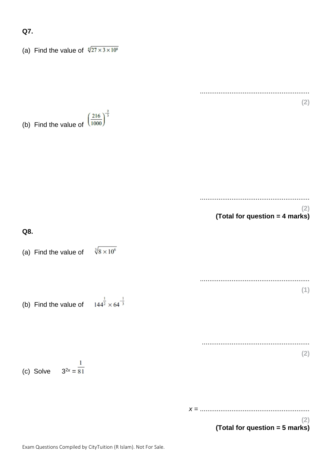## **Q7.**

(a) Find the value of  $\sqrt[4]{27 \times 3 \times 10^8}$ 

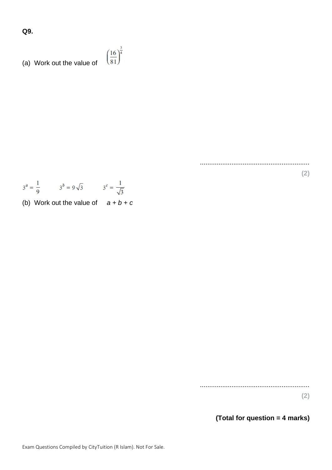**Q9.**

(a) Work out the value of 
$$
\left(\frac{16}{81}\right)^{\frac{3}{4}}
$$

...........................................................

$$
3^a = \frac{1}{9}
$$
  $3^b = 9\sqrt{3}$   $3^c = \frac{1}{\sqrt{3}}$ 

(b) Work out the value of  $a + b + c$ 

...........................................................

**(2)**

**(2)**

**(Total for question = 4 marks)**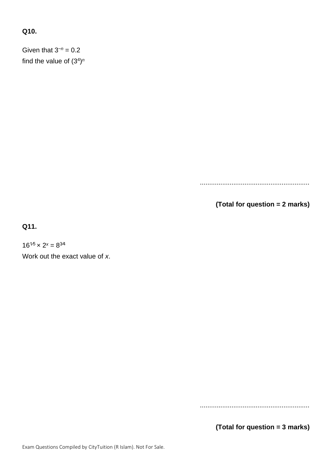## **Q10.**

Given that  $3^{-n} = 0.2$ find the value of (3<sup>4</sup> ) *n*

...........................................................

**(Total for question = 2 marks)**

**Q11.**

 $16^{1/5} \times 2^x = 8^{3/4}$ 

Work out the exact value of *x*.

...........................................................

**(Total for question = 3 marks)**